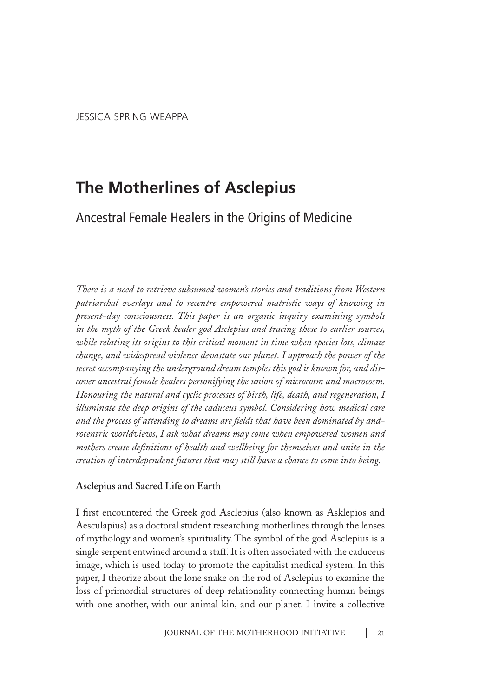# **The Motherlines of Asclepius**

# Ancestral Female Healers in the Origins of Medicine

*There is a need to retrieve subsumed women's stories and traditions from Western patriarchal overlays and to recentre empowered matristic ways of knowing in present-day consciousness. This paper is an organic inquiry examining symbols in the myth of the Greek healer god Asclepius and tracing these to earlier sources, while relating its origins to this critical moment in time when species loss, climate change, and widespread violence devastate our planet. I approach the power of the secret accompanying the underground dream temples this god is known for, and discover ancestral female healers personifying the union of microcosm and macrocosm. Honouring the natural and cyclic processes of birth, life, death, and regeneration, I illuminate the deep origins of the caduceus symbol. Considering how medical care and the process of attending to dreams are fields that have been dominated by androcentric worldviews, I ask what dreams may come when empowered women and mothers create definitions of health and wellbeing for themselves and unite in the creation of interdependent futures that may still have a chance to come into being.* 

# **Asclepius and Sacred Life on Earth**

I first encountered the Greek god Asclepius (also known as Asklepios and Aesculapius) as a doctoral student researching motherlines through the lenses of mythology and women's spirituality. The symbol of the god Asclepius is a single serpent entwined around a staff. It is often associated with the caduceus image, which is used today to promote the capitalist medical system. In this paper, I theorize about the lone snake on the rod of Asclepius to examine the loss of primordial structures of deep relationality connecting human beings with one another, with our animal kin, and our planet. I invite a collective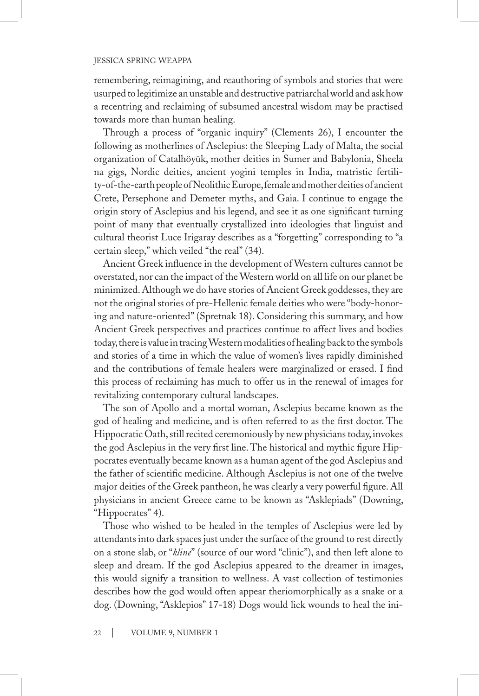remembering, reimagining, and reauthoring of symbols and stories that were usurped to legitimize an unstable and destructive patriarchal world and ask how a recentring and reclaiming of subsumed ancestral wisdom may be practised towards more than human healing.

Through a process of "organic inquiry" (Clements 26), I encounter the following as motherlines of Asclepius: the Sleeping Lady of Malta, the social organization of Catalhöyük, mother deities in Sumer and Babylonia, Sheela na gigs, Nordic deities, ancient yogini temples in India, matristic fertility-of-the-earth people of Neolithic Europe, female and mother deities of ancient Crete, Persephone and Demeter myths, and Gaia. I continue to engage the origin story of Asclepius and his legend, and see it as one significant turning point of many that eventually crystallized into ideologies that linguist and cultural theorist Luce Irigaray describes as a "forgetting" corresponding to "a certain sleep," which veiled "the real" (34).

Ancient Greek influence in the development of Western cultures cannot be overstated, nor can the impact of the Western world on all life on our planet be minimized. Although we do have stories of Ancient Greek goddesses, they are not the original stories of pre-Hellenic female deities who were "body-honoring and nature-oriented" (Spretnak 18). Considering this summary, and how Ancient Greek perspectives and practices continue to affect lives and bodies today, there is value in tracing Western modalities of healing back to the symbols and stories of a time in which the value of women's lives rapidly diminished and the contributions of female healers were marginalized or erased. I find this process of reclaiming has much to offer us in the renewal of images for revitalizing contemporary cultural landscapes.

The son of Apollo and a mortal woman, Asclepius became known as the god of healing and medicine, and is often referred to as the first doctor. The Hippocratic Oath, still recited ceremoniously by new physicians today, invokes the god Asclepius in the very first line. The historical and mythic figure Hippocrates eventually became known as a human agent of the god Asclepius and the father of scientific medicine. Although Asclepius is not one of the twelve major deities of the Greek pantheon, he was clearly a very powerful figure. All physicians in ancient Greece came to be known as "Asklepiads" (Downing, "Hippocrates" 4).

Those who wished to be healed in the temples of Asclepius were led by attendants into dark spaces just under the surface of the ground to rest directly on a stone slab, or "*kline*" (source of our word "clinic"), and then left alone to sleep and dream. If the god Asclepius appeared to the dreamer in images, this would signify a transition to wellness. A vast collection of testimonies describes how the god would often appear theriomorphically as a snake or a dog. (Downing, "Asklepios" 17-18) Dogs would lick wounds to heal the ini-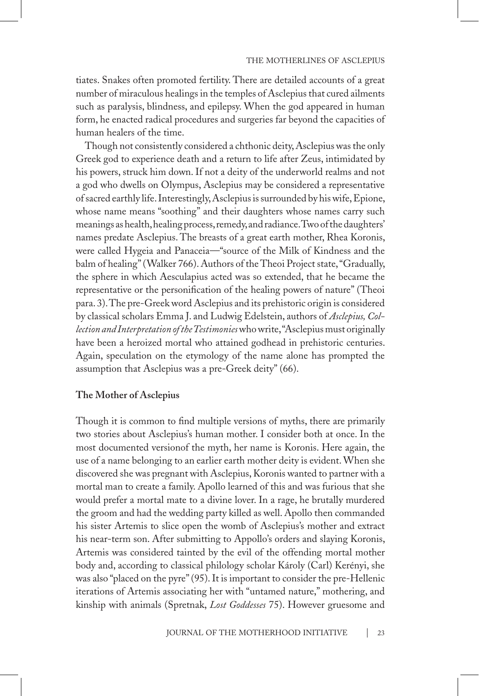tiates. Snakes often promoted fertility. There are detailed accounts of a great number of miraculous healings in the temples of Asclepius that cured ailments such as paralysis, blindness, and epilepsy. When the god appeared in human form, he enacted radical procedures and surgeries far beyond the capacities of human healers of the time.

Though not consistently considered a chthonic deity, Asclepius was the only Greek god to experience death and a return to life after Zeus, intimidated by his powers, struck him down. If not a deity of the underworld realms and not a god who dwells on Olympus, Asclepius may be considered a representative of sacred earthly life. Interestingly, Asclepius is surrounded by his wife, Epione, whose name means "soothing" and their daughters whose names carry such meanings as health, healing process, remedy, and radiance. Two of the daughters' names predate Asclepius. The breasts of a great earth mother, Rhea Koronis, were called Hygeia and Panaceia—"source of the Milk of Kindness and the balm of healing" (Walker 766). Authors of the Theoi Project state, "Gradually, the sphere in which Aesculapius acted was so extended, that he became the representative or the personification of the healing powers of nature" (Theoi para. 3). The pre-Greek word Asclepius and its prehistoric origin is considered by classical scholars Emma J. and Ludwig Edelstein, authors of *Asclepius, Collection and Interpretation of the Testimonies* who write, "Asclepius must originally have been a heroized mortal who attained godhead in prehistoric centuries. Again, speculation on the etymology of the name alone has prompted the assumption that Asclepius was a pre-Greek deity" (66).

# **The Mother of Asclepius**

Though it is common to find multiple versions of myths, there are primarily two stories about Asclepius's human mother. I consider both at once. In the most documented versionof the myth, her name is Koronis. Here again, the use of a name belonging to an earlier earth mother deity is evident. When she discovered she was pregnant with Asclepius, Koronis wanted to partner with a mortal man to create a family. Apollo learned of this and was furious that she would prefer a mortal mate to a divine lover. In a rage, he brutally murdered the groom and had the wedding party killed as well. Apollo then commanded his sister Artemis to slice open the womb of Asclepius's mother and extract his near-term son. After submitting to Appollo's orders and slaying Koronis, Artemis was considered tainted by the evil of the offending mortal mother body and, according to classical philology scholar Károly (Carl) Kerényi, she was also "placed on the pyre" (95). It is important to consider the pre-Hellenic iterations of Artemis associating her with "untamed nature," mothering, and kinship with animals (Spretnak, *Lost Goddesses* 75). However gruesome and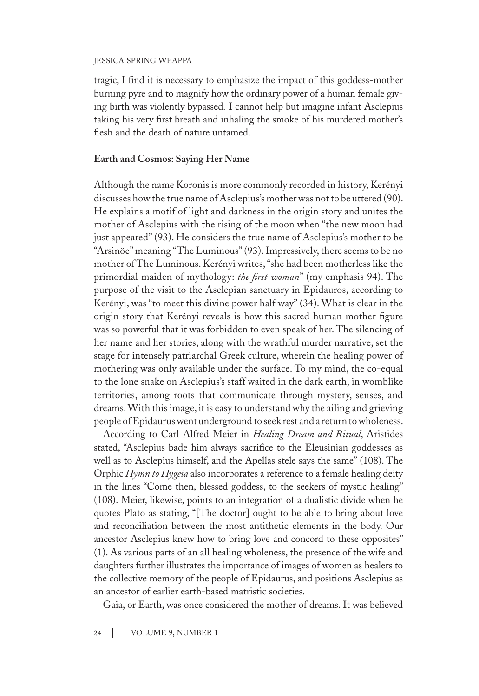tragic, I find it is necessary to emphasize the impact of this goddess-mother burning pyre and to magnify how the ordinary power of a human female giving birth was violently bypassed*.* I cannot help but imagine infant Asclepius taking his very first breath and inhaling the smoke of his murdered mother's flesh and the death of nature untamed.

# **Earth and Cosmos: Saying Her Name**

Although the name Koronis is more commonly recorded in history, Kerényi discusses how the true name of Asclepius's mother was not to be uttered (90). He explains a motif of light and darkness in the origin story and unites the mother of Asclepius with the rising of the moon when "the new moon had just appeared" (93). He considers the true name of Asclepius's mother to be "Arsinöe" meaning "The Luminous" (93). Impressively, there seems to be no mother of The Luminous. Kerényi writes, "she had been motherless like the primordial maiden of mythology: *the first woman*" (my emphasis 94). The purpose of the visit to the Asclepian sanctuary in Epidauros, according to Kerényi, was "to meet this divine power half way" (34). What is clear in the origin story that Kerényi reveals is how this sacred human mother figure was so powerful that it was forbidden to even speak of her. The silencing of her name and her stories, along with the wrathful murder narrative, set the stage for intensely patriarchal Greek culture, wherein the healing power of mothering was only available under the surface. To my mind, the co-equal to the lone snake on Asclepius's staff waited in the dark earth, in womblike territories, among roots that communicate through mystery, senses, and dreams. With this image, it is easy to understand why the ailing and grieving people of Epidaurus went underground to seek rest and a return to wholeness.

According to Carl Alfred Meier in *Healing Dream and Ritual*, Aristides stated, "Asclepius bade him always sacrifice to the Eleusinian goddesses as well as to Asclepius himself, and the Apellas stele says the same" (108). The Orphic *Hymn to Hygeia* also incorporates a reference to a female healing deity in the lines "Come then, blessed goddess, to the seekers of mystic healing" (108). Meier, likewise, points to an integration of a dualistic divide when he quotes Plato as stating, "[The doctor] ought to be able to bring about love and reconciliation between the most antithetic elements in the body. Our ancestor Asclepius knew how to bring love and concord to these opposites" (1). As various parts of an all healing wholeness, the presence of the wife and daughters further illustrates the importance of images of women as healers to the collective memory of the people of Epidaurus, and positions Asclepius as an ancestor of earlier earth-based matristic societies.

Gaia, or Earth, was once considered the mother of dreams. It was believed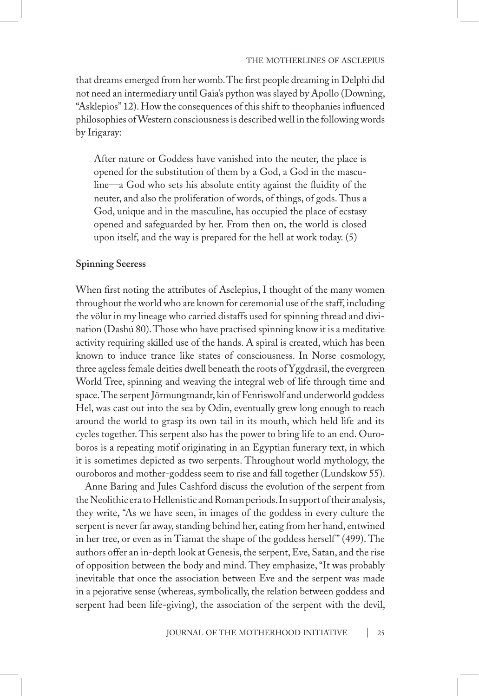that dreams emerged from her womb. The first people dreaming in Delphi did not need an intermediary until Gaia's python was slayed by Apollo (Downing, "Asklepios" 12). How the consequences of this shift to theophanies influenced philosophies of Western consciousness is described well in the following words by Irigaray:

After nature or Goddess have vanished into the neuter, the place is opened for the substitution of them by a God, a God in the masculine—a God who sets his absolute entity against the fluidity of the neuter, and also the proliferation of words, of things, of gods. Thus a God, unique and in the masculine, has occupied the place of ecstasy opened and safeguarded by her. From then on, the world is closed upon itself, and the way is prepared for the hell at work today. (5)

# **Spinning Seeress**

When first noting the attributes of Asclepius, I thought of the many women throughout the world who are known for ceremonial use of the staff, including the völur in my lineage who carried distaffs used for spinning thread and divination (Dashú 80). Those who have practised spinning know it is a meditative activity requiring skilled use of the hands. A spiral is created, which has been known to induce trance like states of consciousness. In Norse cosmology, three ageless female deities dwell beneath the roots of Yggdrasil, the evergreen World Tree, spinning and weaving the integral web of life through time and space. The serpent Jörmungmandr, kin of Fenriswolf and underworld goddess Hel, was cast out into the sea by Odin, eventually grew long enough to reach around the world to grasp its own tail in its mouth, which held life and its cycles together. This serpent also has the power to bring life to an end. Ouroboros is a repeating motif originating in an Egyptian funerary text, in which it is sometimes depicted as two serpents. Throughout world mythology, the ouroboros and mother-goddess seem to rise and fall together (Lundskow 55).

Anne Baring and Jules Cashford discuss the evolution of the serpent from the Neolithic era to Hellenistic and Roman periods. In support of their analysis, they write, "As we have seen, in images of the goddess in every culture the serpent is never far away, standing behind her, eating from her hand, entwined in her tree, or even as in Tiamat the shape of the goddess herself" (499). The authors offer an in-depth look at Genesis, the serpent, Eve, Satan, and the rise of opposition between the body and mind. They emphasize, "It was probably inevitable that once the association between Eve and the serpent was made in a pejorative sense (whereas, symbolically, the relation between goddess and serpent had been life-giving), the association of the serpent with the devil,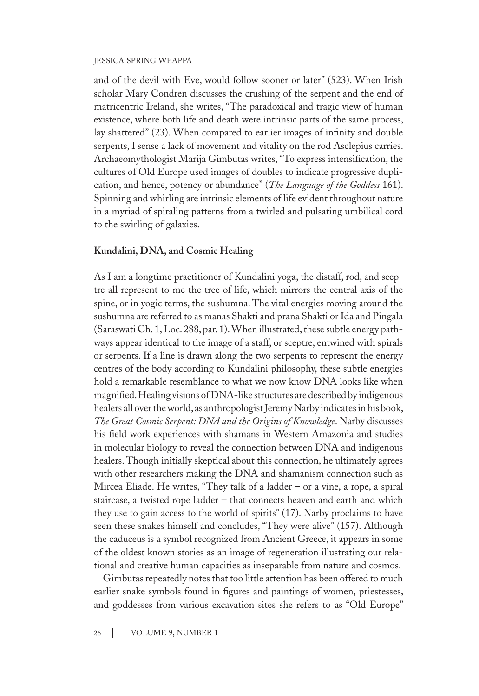and of the devil with Eve, would follow sooner or later" (523). When Irish scholar Mary Condren discusses the crushing of the serpent and the end of matricentric Ireland, she writes, "The paradoxical and tragic view of human existence, where both life and death were intrinsic parts of the same process, lay shattered" (23). When compared to earlier images of infinity and double serpents, I sense a lack of movement and vitality on the rod Asclepius carries. Archaeomythologist Marija Gimbutas writes, "To express intensification, the cultures of Old Europe used images of doubles to indicate progressive duplication, and hence, potency or abundance" (*The Language of the Goddess* 161). Spinning and whirling are intrinsic elements of life evident throughout nature in a myriad of spiraling patterns from a twirled and pulsating umbilical cord to the swirling of galaxies.

# **Kundalini, DNA, and Cosmic Healing**

As I am a longtime practitioner of Kundalini yoga, the distaff, rod, and sceptre all represent to me the tree of life, which mirrors the central axis of the spine, or in yogic terms, the sushumna. The vital energies moving around the sushumna are referred to as manas Shakti and prana Shakti or Ida and Pingala (Saraswati Ch. 1, Loc. 288, par. 1). When illustrated, these subtle energy pathways appear identical to the image of a staff, or sceptre, entwined with spirals or serpents. If a line is drawn along the two serpents to represent the energy centres of the body according to Kundalini philosophy, these subtle energies hold a remarkable resemblance to what we now know DNA looks like when magnified. Healing visions of DNA-like structures are described by indigenous healers all over the world, as anthropologist Jeremy Narby indicates in his book, *The Great Cosmic Serpent: DNA and the Origins of Knowledge*. Narby discusses his field work experiences with shamans in Western Amazonia and studies in molecular biology to reveal the connection between DNA and indigenous healers. Though initially skeptical about this connection, he ultimately agrees with other researchers making the DNA and shamanism connection such as Mircea Eliade. He writes, "They talk of a ladder – or a vine, a rope, a spiral staircase, a twisted rope ladder – that connects heaven and earth and which they use to gain access to the world of spirits" (17). Narby proclaims to have seen these snakes himself and concludes, "They were alive" (157). Although the caduceus is a symbol recognized from Ancient Greece, it appears in some of the oldest known stories as an image of regeneration illustrating our relational and creative human capacities as inseparable from nature and cosmos.

Gimbutas repeatedly notes that too little attention has been offered to much earlier snake symbols found in figures and paintings of women, priestesses, and goddesses from various excavation sites she refers to as "Old Europe"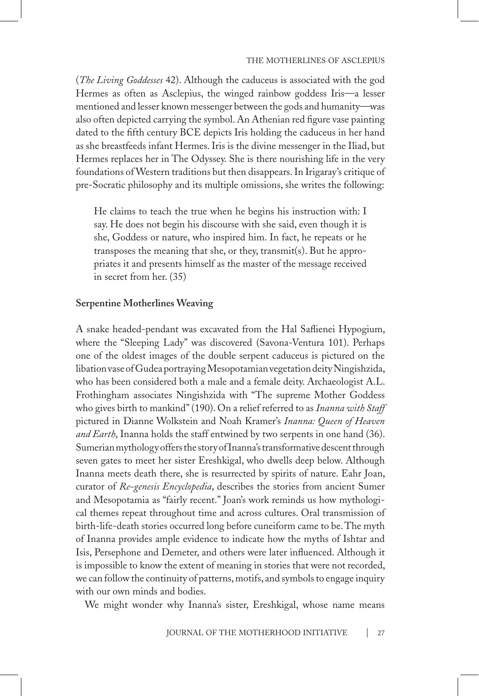(*The Living Goddesses* 42). Although the caduceus is associated with the god Hermes as often as Asclepius, the winged rainbow goddess Iris—a lesser mentioned and lesser known messenger between the gods and humanity—was also often depicted carrying the symbol. An Athenian red figure vase painting dated to the fifth century BCE depicts Iris holding the caduceus in her hand as she breastfeeds infant Hermes. Iris is the divine messenger in the Iliad, but Hermes replaces her in The Odyssey. She is there nourishing life in the very foundations of Western traditions but then disappears. In Irigaray's critique of pre-Socratic philosophy and its multiple omissions, she writes the following:

He claims to teach the true when he begins his instruction with: I say. He does not begin his discourse with she said, even though it is she, Goddess or nature, who inspired him. In fact, he repeats or he transposes the meaning that she, or they, transmit(s). But he appropriates it and presents himself as the master of the message received in secret from her. (35)

#### **Serpentine Motherlines Weaving**

A snake headed-pendant was excavated from the Hal Saflienei Hypogium, where the "Sleeping Lady" was discovered (Savona-Ventura 101). Perhaps one of the oldest images of the double serpent caduceus is pictured on the libation vase of Gudea portraying Mesopotamian vegetation deity Ningishzida, who has been considered both a male and a female deity. Archaeologist A.L. Frothingham associates Ningishzida with "The supreme Mother Goddess who gives birth to mankind" (190). On a relief referred to as *Inanna with Staff*  pictured in Dianne Wolkstein and Noah Kramer's *Inanna: Queen of Heaven and Earth*, Inanna holds the staff entwined by two serpents in one hand (36). Sumerian mythology offers the story of Inanna's transformative descent through seven gates to meet her sister Ereshkigal, who dwells deep below. Although Inanna meets death there, she is resurrected by spirits of nature. Eahr Joan, curator of *Re-genesis Encyclopedia*, describes the stories from ancient Sumer and Mesopotamia as "fairly recent." Joan's work reminds us how mythological themes repeat throughout time and across cultures. Oral transmission of birth-life-death stories occurred long before cuneiform came to be. The myth of Inanna provides ample evidence to indicate how the myths of Ishtar and Isis, Persephone and Demeter, and others were later influenced. Although it is impossible to know the extent of meaning in stories that were not recorded, we can follow the continuity of patterns, motifs, and symbols to engage inquiry with our own minds and bodies.

We might wonder why Inanna's sister, Ereshkigal, whose name means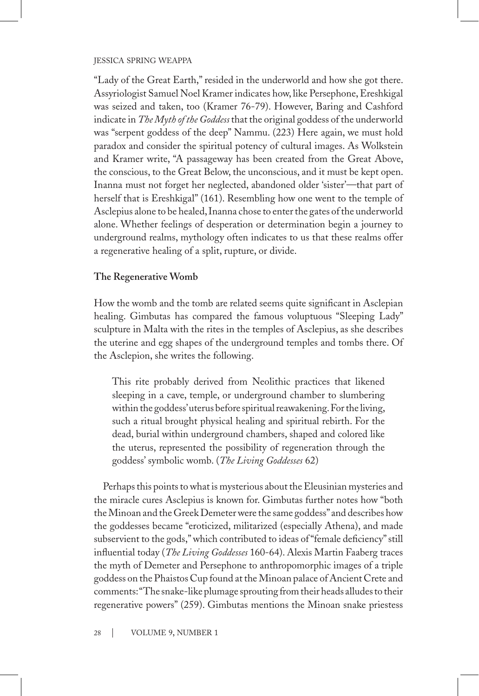"Lady of the Great Earth," resided in the underworld and how she got there. Assyriologist Samuel Noel Kramer indicates how, like Persephone, Ereshkigal was seized and taken, too (Kramer 76-79). However, Baring and Cashford indicate in *The Myth of the Goddess* that the original goddess of the underworld was "serpent goddess of the deep" Nammu. (223) Here again, we must hold paradox and consider the spiritual potency of cultural images. As Wolkstein and Kramer write, "A passageway has been created from the Great Above, the conscious, to the Great Below, the unconscious, and it must be kept open. Inanna must not forget her neglected, abandoned older 'sister'—that part of herself that is Ereshkigal" (161). Resembling how one went to the temple of Asclepius alone to be healed, Inanna chose to enter the gates of the underworld alone. Whether feelings of desperation or determination begin a journey to underground realms, mythology often indicates to us that these realms offer a regenerative healing of a split, rupture, or divide.

# **The Regenerative Womb**

How the womb and the tomb are related seems quite significant in Asclepian healing. Gimbutas has compared the famous voluptuous "Sleeping Lady" sculpture in Malta with the rites in the temples of Asclepius, as she describes the uterine and egg shapes of the underground temples and tombs there. Of the Asclepion, she writes the following.

This rite probably derived from Neolithic practices that likened sleeping in a cave, temple, or underground chamber to slumbering within the goddess' uterus before spiritual reawakening. For the living, such a ritual brought physical healing and spiritual rebirth. For the dead, burial within underground chambers, shaped and colored like the uterus, represented the possibility of regeneration through the goddess' symbolic womb. (*The Living Goddesses* 62)

Perhaps this points to what is mysterious about the Eleusinian mysteries and the miracle cures Asclepius is known for. Gimbutas further notes how "both the Minoan and the Greek Demeter were the same goddess" and describes how the goddesses became "eroticized, militarized (especially Athena), and made subservient to the gods," which contributed to ideas of "female deficiency" still influential today (*The Living Goddesses* 160-64). Alexis Martin Faaberg traces the myth of Demeter and Persephone to anthropomorphic images of a triple goddess on the Phaistos Cup found at the Minoan palace of Ancient Crete and comments: "The snake-like plumage sprouting from their heads alludes to their regenerative powers" (259). Gimbutas mentions the Minoan snake priestess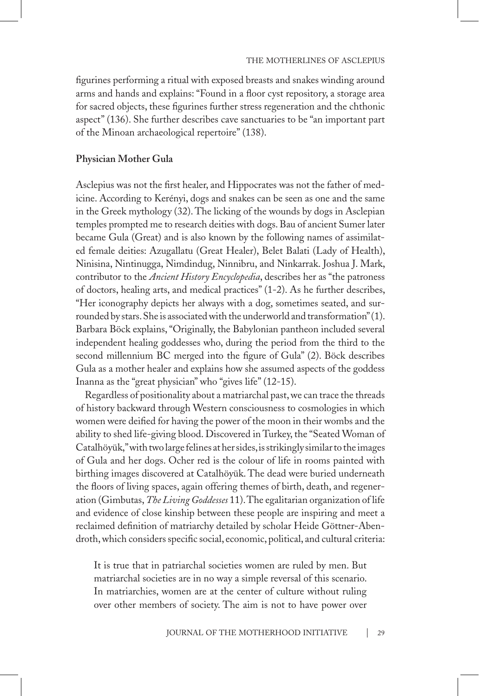figurines performing a ritual with exposed breasts and snakes winding around arms and hands and explains: "Found in a floor cyst repository, a storage area for sacred objects, these figurines further stress regeneration and the chthonic aspect" (136). She further describes cave sanctuaries to be "an important part of the Minoan archaeological repertoire" (138).

# **Physician Mother Gula**

Asclepius was not the first healer, and Hippocrates was not the father of medicine. According to Kerényi, dogs and snakes can be seen as one and the same in the Greek mythology (32). The licking of the wounds by dogs in Asclepian temples prompted me to research deities with dogs. Bau of ancient Sumer later became Gula (Great) and is also known by the following names of assimilated female deities: Azugallatu (Great Healer), Belet Balati (Lady of Health), Ninisina, Nintinugga, Nimdindug, Ninnibru, and Ninkarrak. Joshua J. Mark, contributor to the *Ancient History Encyclopedia*, describes her as "the patroness of doctors, healing arts, and medical practices" (1-2). As he further describes, "Her iconography depicts her always with a dog, sometimes seated, and surrounded by stars. She is associated with the underworld and transformation" (1). Barbara Böck explains, "Originally, the Babylonian pantheon included several independent healing goddesses who, during the period from the third to the second millennium BC merged into the figure of Gula" (2). Böck describes Gula as a mother healer and explains how she assumed aspects of the goddess Inanna as the "great physician" who "gives life" (12-15).

Regardless of positionality about a matriarchal past, we can trace the threads of history backward through Western consciousness to cosmologies in which women were deified for having the power of the moon in their wombs and the ability to shed life-giving blood. Discovered in Turkey, the "Seated Woman of Catalhöyük," with two large felines at her sides, is strikingly similar to the images of Gula and her dogs. Ocher red is the colour of life in rooms painted with birthing images discovered at Catalhöyük. The dead were buried underneath the floors of living spaces, again offering themes of birth, death, and regeneration (Gimbutas, *The Living Goddesses* 11). The egalitarian organization of life and evidence of close kinship between these people are inspiring and meet a reclaimed definition of matriarchy detailed by scholar Heide Göttner-Abendroth, which considers specific social, economic, political, and cultural criteria:

It is true that in patriarchal societies women are ruled by men. But matriarchal societies are in no way a simple reversal of this scenario. In matriarchies, women are at the center of culture without ruling over other members of society. The aim is not to have power over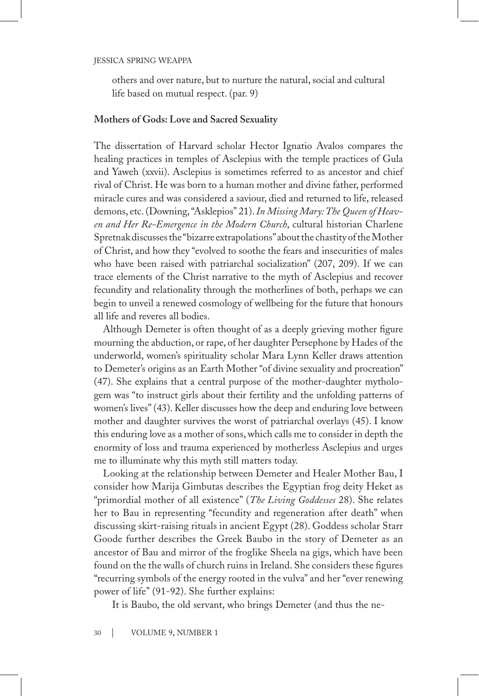others and over nature, but to nurture the natural, social and cultural life based on mutual respect. (par. 9)

# **Mothers of Gods: Love and Sacred Sexuality**

The dissertation of Harvard scholar Hector Ignatio Avalos compares the healing practices in temples of Asclepius with the temple practices of Gula and Yaweh (xxvii). Asclepius is sometimes referred to as ancestor and chief rival of Christ. He was born to a human mother and divine father, performed miracle cures and was considered a saviour, died and returned to life, released demons, etc. (Downing, "Asklepios" 21). *In Missing Mary: The Queen of Heaven and Her Re-Emergence in the Modern Church*, cultural historian Charlene Spretnak discusses the "bizarre extrapolations" about the chastity of the Mother of Christ, and how they "evolved to soothe the fears and insecurities of males who have been raised with patriarchal socialization" (207, 209). If we can trace elements of the Christ narrative to the myth of Asclepius and recover fecundity and relationality through the motherlines of both, perhaps we can begin to unveil a renewed cosmology of wellbeing for the future that honours all life and reveres all bodies.

Although Demeter is often thought of as a deeply grieving mother figure mourning the abduction, or rape, of her daughter Persephone by Hades of the underworld, women's spirituality scholar Mara Lynn Keller draws attention to Demeter's origins as an Earth Mother "of divine sexuality and procreation" (47). She explains that a central purpose of the mother-daughter mythologem was "to instruct girls about their fertility and the unfolding patterns of women's lives" (43). Keller discusses how the deep and enduring love between mother and daughter survives the worst of patriarchal overlays (45). I know this enduring love as a mother of sons, which calls me to consider in depth the enormity of loss and trauma experienced by motherless Asclepius and urges me to illuminate why this myth still matters today.

Looking at the relationship between Demeter and Healer Mother Bau, I consider how Marija Gimbutas describes the Egyptian frog deity Heket as "primordial mother of all existence" (*The Living Goddesses* 28). She relates her to Bau in representing "fecundity and regeneration after death" when discussing skirt-raising rituals in ancient Egypt (28). Goddess scholar Starr Goode further describes the Greek Baubo in the story of Demeter as an ancestor of Bau and mirror of the froglike Sheela na gigs, which have been found on the the walls of church ruins in Ireland. She considers these figures "recurring symbols of the energy rooted in the vulva" and her "ever renewing power of life" (91-92). She further explains:

It is Baubo, the old servant, who brings Demeter (and thus the ne-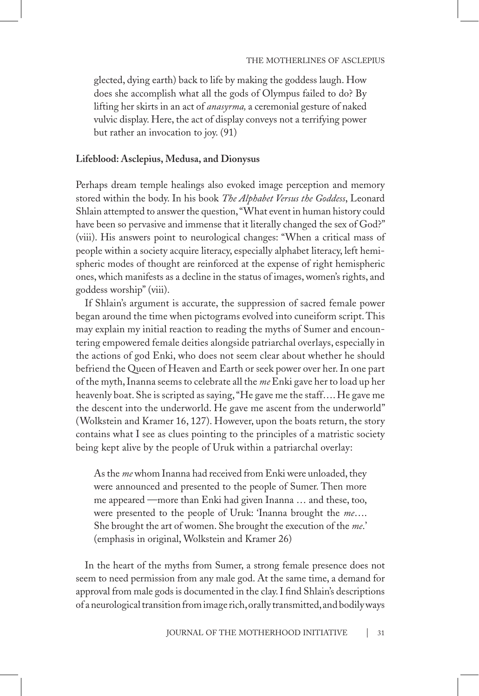glected, dying earth) back to life by making the goddess laugh. How does she accomplish what all the gods of Olympus failed to do? By lifting her skirts in an act of *anasyrma,* a ceremonial gesture of naked vulvic display. Here, the act of display conveys not a terrifying power but rather an invocation to joy. (91)

# **Lifeblood: Asclepius, Medusa, and Dionysus**

Perhaps dream temple healings also evoked image perception and memory stored within the body. In his book *The Alphabet Versus the Goddess*, Leonard Shlain attempted to answer the question, "What event in human history could have been so pervasive and immense that it literally changed the sex of God?" (viii). His answers point to neurological changes: "When a critical mass of people within a society acquire literacy, especially alphabet literacy, left hemispheric modes of thought are reinforced at the expense of right hemispheric ones, which manifests as a decline in the status of images, women's rights, and goddess worship" (viii).

If Shlain's argument is accurate, the suppression of sacred female power began around the time when pictograms evolved into cuneiform script. This may explain my initial reaction to reading the myths of Sumer and encountering empowered female deities alongside patriarchal overlays, especially in the actions of god Enki, who does not seem clear about whether he should befriend the Queen of Heaven and Earth or seek power over her. In one part of the myth, Inanna seems to celebrate all the *me* Enki gave her to load up her heavenly boat. She is scripted as saying, "He gave me the staff…. He gave me the descent into the underworld. He gave me ascent from the underworld" (Wolkstein and Kramer 16, 127). However, upon the boats return, the story contains what I see as clues pointing to the principles of a matristic society being kept alive by the people of Uruk within a patriarchal overlay:

As the *me* whom Inanna had received from Enki were unloaded, they were announced and presented to the people of Sumer. Then more me appeared —more than Enki had given Inanna … and these, too, were presented to the people of Uruk: 'Inanna brought the *me*…. She brought the art of women. She brought the execution of the *me*.' (emphasis in original, Wolkstein and Kramer 26)

In the heart of the myths from Sumer, a strong female presence does not seem to need permission from any male god. At the same time, a demand for approval from male gods is documented in the clay. I find Shlain's descriptions of a neurological transition from image rich, orally transmitted, and bodily ways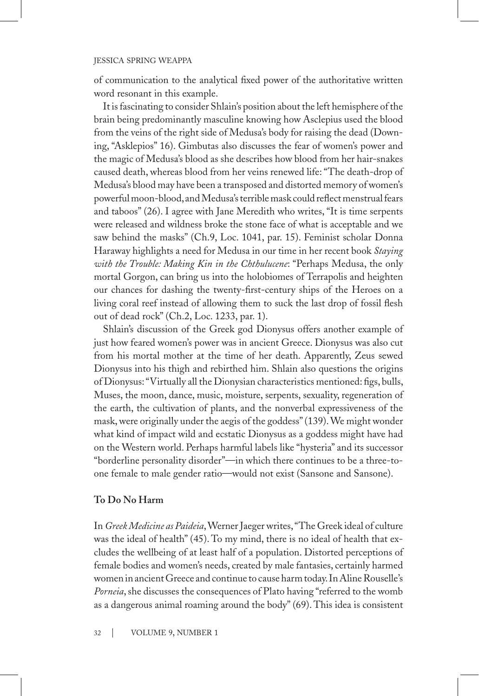of communication to the analytical fixed power of the authoritative written word resonant in this example.

It is fascinating to consider Shlain's position about the left hemisphere of the brain being predominantly masculine knowing how Asclepius used the blood from the veins of the right side of Medusa's body for raising the dead (Downing, "Asklepios" 16). Gimbutas also discusses the fear of women's power and the magic of Medusa's blood as she describes how blood from her hair-snakes caused death, whereas blood from her veins renewed life: "The death-drop of Medusa's blood may have been a transposed and distorted memory of women's powerful moon-blood, and Medusa's terrible mask could reflect menstrual fears and taboos" (26). I agree with Jane Meredith who writes, "It is time serpents were released and wildness broke the stone face of what is acceptable and we saw behind the masks" (Ch.9, Loc. 1041, par. 15). Feminist scholar Donna Haraway highlights a need for Medusa in our time in her recent book *Staying with the Trouble: Making Kin in the Chthulucene*: "Perhaps Medusa, the only mortal Gorgon, can bring us into the holobiomes of Terrapolis and heighten our chances for dashing the twenty-first-century ships of the Heroes on a living coral reef instead of allowing them to suck the last drop of fossil flesh out of dead rock" (Ch.2, Loc. 1233, par. 1).

Shlain's discussion of the Greek god Dionysus offers another example of just how feared women's power was in ancient Greece. Dionysus was also cut from his mortal mother at the time of her death. Apparently, Zeus sewed Dionysus into his thigh and rebirthed him. Shlain also questions the origins of Dionysus: "Virtually all the Dionysian characteristics mentioned: figs, bulls, Muses, the moon, dance, music, moisture, serpents, sexuality, regeneration of the earth, the cultivation of plants, and the nonverbal expressiveness of the mask, were originally under the aegis of the goddess" (139). We might wonder what kind of impact wild and ecstatic Dionysus as a goddess might have had on the Western world. Perhaps harmful labels like "hysteria" and its successor "borderline personality disorder"—in which there continues to be a three-toone female to male gender ratio—would not exist (Sansone and Sansone).

# **To Do No Harm**

In *Greek Medicine as Paideia*, Werner Jaeger writes, "The Greek ideal of culture was the ideal of health" (45). To my mind, there is no ideal of health that excludes the wellbeing of at least half of a population. Distorted perceptions of female bodies and women's needs, created by male fantasies, certainly harmed women in ancient Greece and continue to cause harm today. In Aline Rouselle's *Porneia*, she discusses the consequences of Plato having "referred to the womb as a dangerous animal roaming around the body" (69). This idea is consistent

32 | VOLUME 9, NUMBER 1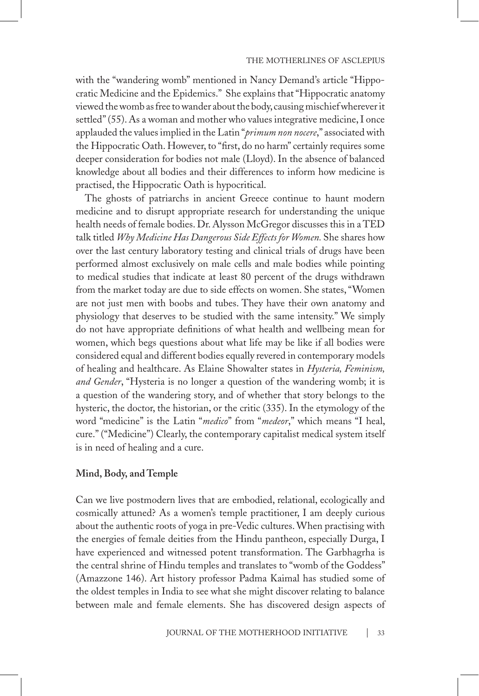with the "wandering womb" mentioned in Nancy Demand's article "Hippocratic Medicine and the Epidemics." She explains that "Hippocratic anatomy viewed the womb as free to wander about the body, causing mischief wherever it settled" (55). As a woman and mother who values integrative medicine, I once applauded the values implied in the Latin "*primum non nocere*," associated with the Hippocratic Oath. However, to "first, do no harm" certainly requires some deeper consideration for bodies not male (Lloyd). In the absence of balanced knowledge about all bodies and their differences to inform how medicine is practised, the Hippocratic Oath is hypocritical.

The ghosts of patriarchs in ancient Greece continue to haunt modern medicine and to disrupt appropriate research for understanding the unique health needs of female bodies. Dr. Alysson McGregor discusses this in a TED talk titled *Why Medicine Has Dangerous Side Effects for Women.* She shares how over the last century laboratory testing and clinical trials of drugs have been performed almost exclusively on male cells and male bodies while pointing to medical studies that indicate at least 80 percent of the drugs withdrawn from the market today are due to side effects on women. She states, "Women are not just men with boobs and tubes. They have their own anatomy and physiology that deserves to be studied with the same intensity." We simply do not have appropriate definitions of what health and wellbeing mean for women, which begs questions about what life may be like if all bodies were considered equal and different bodies equally revered in contemporary models of healing and healthcare. As Elaine Showalter states in *Hysteria, Feminism, and Gender*, "Hysteria is no longer a question of the wandering womb; it is a question of the wandering story, and of whether that story belongs to the hysteric, the doctor, the historian, or the critic (335). In the etymology of the word "medicine" is the Latin "*medico*" from "*medeor*," which means "I heal, cure." ("Medicine") Clearly, the contemporary capitalist medical system itself is in need of healing and a cure.

# **Mind, Body, and Temple**

Can we live postmodern lives that are embodied, relational, ecologically and cosmically attuned? As a women's temple practitioner, I am deeply curious about the authentic roots of yoga in pre-Vedic cultures. When practising with the energies of female deities from the Hindu pantheon, especially Durga, I have experienced and witnessed potent transformation. The Garbhagrha is the central shrine of Hindu temples and translates to "womb of the Goddess" (Amazzone 146). Art history professor Padma Kaimal has studied some of the oldest temples in India to see what she might discover relating to balance between male and female elements. She has discovered design aspects of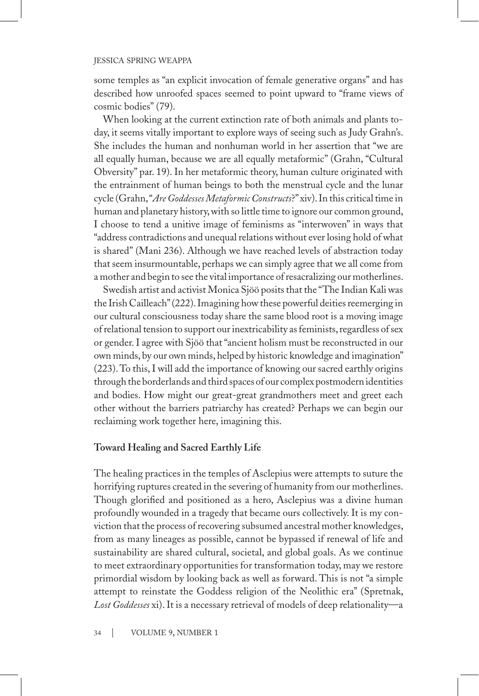some temples as "an explicit invocation of female generative organs" and has described how unroofed spaces seemed to point upward to "frame views of cosmic bodies" (79).

When looking at the current extinction rate of both animals and plants today, it seems vitally important to explore ways of seeing such as Judy Grahn's. She includes the human and nonhuman world in her assertion that "we are all equally human, because we are all equally metaformic" (Grahn, "Cultural Obversity" par. 19). In her metaformic theory, human culture originated with the entrainment of human beings to both the menstrual cycle and the lunar cycle (Grahn, "*Are Goddesses Metaformic Constructs*?" xiv). In this critical time in human and planetary history, with so little time to ignore our common ground, I choose to tend a unitive image of feminisms as "interwoven" in ways that "address contradictions and unequal relations without ever losing hold of what is shared" (Mani 236). Although we have reached levels of abstraction today that seem insurmountable, perhaps we can simply agree that we all come from a mother and begin to see the vital importance of resacralizing our motherlines.

Swedish artist and activist Monica Sjöö posits that the "The Indian Kali was the Irish Cailleach" (222). Imagining how these powerful deities reemerging in our cultural consciousness today share the same blood root is a moving image of relational tension to support our inextricability as feminists, regardless of sex or gender. I agree with Sjöö that "ancient holism must be reconstructed in our own minds, by our own minds, helped by historic knowledge and imagination" (223). To this, I will add the importance of knowing our sacred earthly origins through the borderlands and third spaces of our complex postmodern identities and bodies. How might our great-great grandmothers meet and greet each other without the barriers patriarchy has created? Perhaps we can begin our reclaiming work together here, imagining this.

# **Toward Healing and Sacred Earthly Life**

The healing practices in the temples of Asclepius were attempts to suture the horrifying ruptures created in the severing of humanity from our motherlines. Though glorified and positioned as a hero, Asclepius was a divine human profoundly wounded in a tragedy that became ours collectively. It is my conviction that the process of recovering subsumed ancestral mother knowledges, from as many lineages as possible, cannot be bypassed if renewal of life and sustainability are shared cultural, societal, and global goals. As we continue to meet extraordinary opportunities for transformation today, may we restore primordial wisdom by looking back as well as forward. This is not "a simple attempt to reinstate the Goddess religion of the Neolithic era" (Spretnak, *Lost Goddesses* xi). It is a necessary retrieval of models of deep relationality—a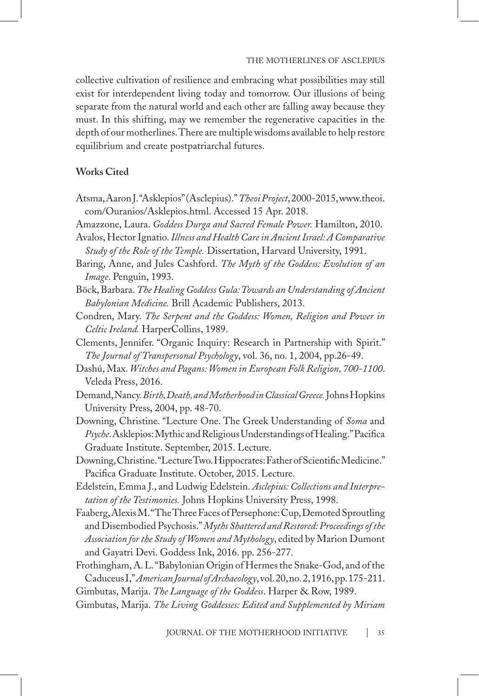collective cultivation of resilience and embracing what possibilities may still exist for interdependent living today and tomorrow. Our illusions of being separate from the natural world and each other are falling away because they must. In this shifting, may we remember the regenerative capacities in the depth of our motherlines. There are multiple wisdoms available to help restore equilibrium and create postpatriarchal futures.

# **Works Cited**

- Atsma, Aaron J. "Asklepios" (Asclepius)." *Theoi Project*, 2000-2015, www.theoi. com/Ouranios/Asklepios.html. Accessed 15 Apr. 2018.
- Amazzone, Laura. *Goddess Durga and Sacred Female Power.* Hamilton, 2010.
- Avalos, Hector Ignatio. *Illness and Health Care in Ancient Israel: A Comparative Study of the Role of the Temple.* Dissertation, Harvard University, 1991.
- Baring, Anne, and Jules Cashford. *The Myth of the Goddess: Evolution of an Image*. Penguin, 1993.
- Böck, Barbara. *The Healing Goddess Gula: Towards an Understanding of Ancient Babylonian Medicine.* Brill Academic Publishers, 2013.
- Condren, Mary. *The Serpent and the Goddess: Women, Religion and Power in Celtic Ireland.* HarperCollins, 1989.
- Clements, Jennifer. "Organic Inquiry: Research in Partnership with Spirit." *The Journal of Transpersonal Psychology*, vol. 36, no. 1, 2004, pp.26-49.
- Dashú, Max. *Witches and Pagans: Women in European Folk Religion, 700-1100*. Veleda Press, 2016.
- Demand, Nancy. *Birth, Death, and Motherhood in Classical Greece.* Johns Hopkins University Press, 2004, pp. 48-70.
- Downing, Christine. "Lecture One. The Greek Understanding of *Soma* and *Psyche*. Asklepios: Mythic and Religious Understandings of Healing." Pacifica Graduate Institute. September, 2015. Lecture.
- Downing, Christine. "Lecture Two. Hippocrates: Father of Scientific Medicine." Pacifica Graduate Institute. October, 2015. Lecture.
- Edelstein, Emma J., and Ludwig Edelstein. *Asclepius: Collections and Interpretation of the Testimonies.* Johns Hopkins University Press, 1998.
- Faaberg, Alexis M. "The Three Faces of Persephone: Cup, Demoted Sproutling and Disembodied Psychosis." *Myths Shattered and Restored: Proceedings of the Association for the Study of Women and Mythology*, edited by Marion Dumont and Gayatri Devi. Goddess Ink, 2016. pp. 256-277.
- Frothingham, A. L. "Babylonian Origin of Hermes the Snake-God, and of the Caduceus I," *American Journal of Archaeology*, vol. 20, no.2, 1916, pp. 175-211. Gimbutas, Marija. *The Language of the Goddess*. Harper & Row, 1989.
- Gimbutas, Marija. *The Living Goddesses: Edited and Supplemented by Miriam*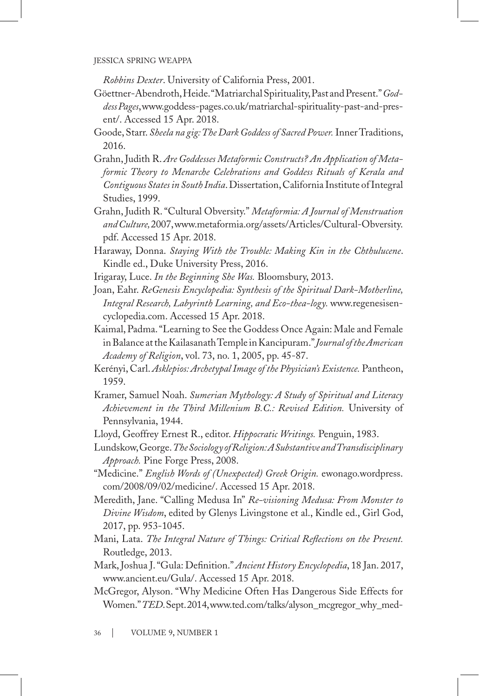*Robbins Dexter*. University of California Press, 2001.

- Göettner-Abendroth, Heide. "Matriarchal Spirituality, Past and Present." *Goddess Pages*, www.goddess-pages.co.uk/matriarchal-spirituality-past-and-present/. Accessed 15 Apr. 2018.
- Goode, Starr. *Sheela na gig: The Dark Goddess of Sacred Power.* Inner Traditions, 2016.
- Grahn, Judith R. *Are Goddesses Metaformic Constructs? An Application of Metaformic Theory to Menarche Celebrations and Goddess Rituals of Kerala and Contiguous States in South India*. Dissertation, California Institute of Integral Studies, 1999.
- Grahn, Judith R. "Cultural Obversity." *Metaformia: A Journal of Menstruation and Culture,* 2007, www.metaformia.org/assets/Articles/Cultural-Obversity. pdf. Accessed 15 Apr. 2018.
- Haraway, Donna. *Staying With the Trouble: Making Kin in the Chthulucene*. Kindle ed., Duke University Press, 2016.
- Irigaray, Luce. *In the Beginning She Was.* Bloomsbury, 2013.
- Joan, Eahr. *ReGenesis Encyclopedia: Synthesis of the Spiritual Dark-Motherline, Integral Research, Labyrinth Learning, and Eco-thea-logy.* www.regenesisencyclopedia.com. Accessed 15 Apr. 2018.
- Kaimal, Padma. "Learning to See the Goddess Once Again: Male and Female in Balance at the Kailasanath Temple in Kancipuram." *Journal of the American Academy of Religion*, vol. 73, no. 1, 2005, pp. 45-87.
- Kerényi, Carl. *Asklepios: Archetypal Image of the Physician's Existence.* Pantheon, 1959.
- Kramer, Samuel Noah. *Sumerian Mythology: A Study of Spiritual and Literacy Achievement in the Third Millenium B.C.: Revised Edition.* University of Pennsylvania, 1944.
- Lloyd, Geoffrey Ernest R., editor. *Hippocratic Writings.* Penguin, 1983.
- Lundskow, George. *The Sociology of Religion: A Substantive and Transdisciplinary Approach.* Pine Forge Press, 2008.
- "Medicine." *English Words of (Unexpected) Greek Origin.* ewonago.wordpress. com/2008/09/02/medicine/. Accessed 15 Apr. 2018.
- Meredith, Jane. "Calling Medusa In" *Re-visioning Medusa: From Monster to Divine Wisdom*, edited by Glenys Livingstone et al., Kindle ed., Girl God, 2017, pp. 953-1045.
- Mani, Lata. *The Integral Nature of Things: Critical Reflections on the Present.*  Routledge, 2013.
- Mark, Joshua J. "Gula: Definition." *Ancient History Encyclopedia*, 18 Jan. 2017, www.ancient.eu/Gula/. Accessed 15 Apr. 2018.
- McGregor, Alyson. "Why Medicine Often Has Dangerous Side Effects for Women." *TED*. Sept. 2014, www.ted.com/talks/alyson\_mcgregor\_why\_med-